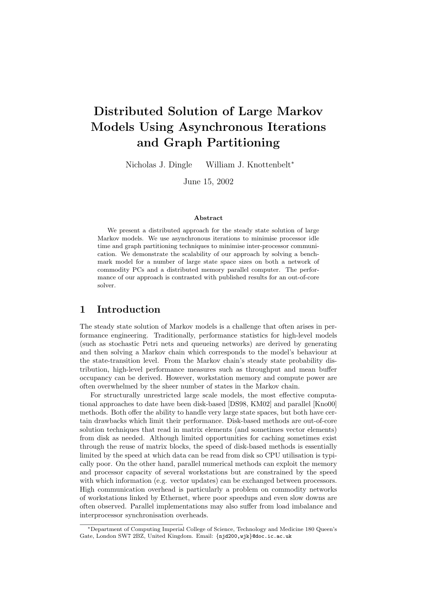# Distributed Solution of Large Markov Models Using Asynchronous Iterations and Graph Partitioning

Nicholas J. Dingle William J. Knottenbelt<sup>∗</sup>

June 15, 2002

#### Abstract

We present a distributed approach for the steady state solution of large Markov models. We use asynchronous iterations to minimise processor idle time and graph partitioning techniques to minimise inter-processor communication. We demonstrate the scalability of our approach by solving a benchmark model for a number of large state space sizes on both a network of commodity PCs and a distributed memory parallel computer. The performance of our approach is contrasted with published results for an out-of-core solver.

#### 1 Introduction

The steady state solution of Markov models is a challenge that often arises in performance engineering. Traditionally, performance statistics for high-level models (such as stochastic Petri nets and queueing networks) are derived by generating and then solving a Markov chain which corresponds to the model's behaviour at the state-transition level. From the Markov chain's steady state probability distribution, high-level performance measures such as throughput and mean buffer occupancy can be derived. However, workstation memory and compute power are often overwhelmed by the sheer number of states in the Markov chain.

For structurally unrestricted large scale models, the most effective computational approaches to date have been disk-based [DS98, KM02] and parallel [Kno00] methods. Both offer the ability to handle very large state spaces, but both have certain drawbacks which limit their performance. Disk-based methods are out-of-core solution techniques that read in matrix elements (and sometimes vector elements) from disk as needed. Although limited opportunities for caching sometimes exist through the reuse of matrix blocks, the speed of disk-based methods is essentially limited by the speed at which data can be read from disk so CPU utilisation is typically poor. On the other hand, parallel numerical methods can exploit the memory and processor capacity of several workstations but are constrained by the speed with which information (e.g. vector updates) can be exchanged between processors. High communication overhead is particularly a problem on commodity networks of workstations linked by Ethernet, where poor speedups and even slow downs are often observed. Parallel implementations may also suffer from load imbalance and interprocessor synchronisation overheads.

<sup>∗</sup>Department of Computing Imperial College of Science, Technology and Medicine 180 Queen's Gate, London SW7 2BZ, United Kingdom. Email: {njd200,wjk}@doc.ic.ac.uk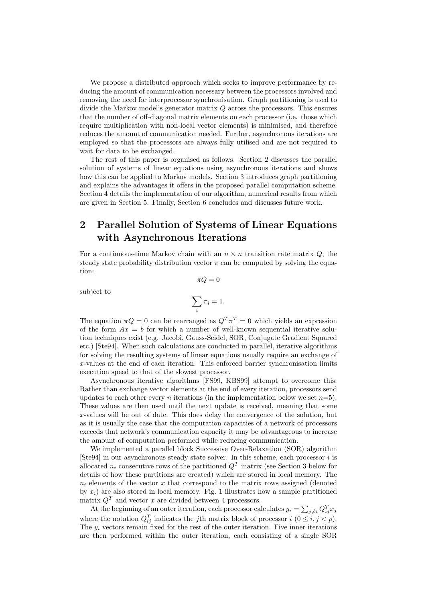We propose a distributed approach which seeks to improve performance by reducing the amount of communication necessary between the processors involved and removing the need for interprocessor synchronisation. Graph partitioning is used to divide the Markov model's generator matrix Q across the processors. This ensures that the number of off-diagonal matrix elements on each processor (i.e. those which require multiplication with non-local vector elements) is minimised, and therefore reduces the amount of communication needed. Further, asynchronous iterations are employed so that the processors are always fully utilised and are not required to wait for data to be exchanged.

The rest of this paper is organised as follows. Section 2 discusses the parallel solution of systems of linear equations using asynchronous iterations and shows how this can be applied to Markov models. Section 3 introduces graph partitioning and explains the advantages it offers in the proposed parallel computation scheme. Section 4 details the implementation of our algorithm, numerical results from which are given in Section 5. Finally, Section 6 concludes and discusses future work.

## 2 Parallel Solution of Systems of Linear Equations with Asynchronous Iterations

For a continuous-time Markov chain with an  $n \times n$  transition rate matrix  $Q$ , the steady state probability distribution vector  $\pi$  can be computed by solving the equation:

 $\pi Q = 0$ 

subject to

$$
\sum_i \pi_i = 1.
$$

The equation  $\pi Q = 0$  can be rearranged as  $Q^T \pi^T = 0$  which yields an expression of the form  $Ax = b$  for which a number of well-known sequential iterative solution techniques exist (e.g. Jacobi, Gauss-Seidel, SOR, Conjugate Gradient Squared etc.) [Ste94]. When such calculations are conducted in parallel, iterative algorithms for solving the resulting systems of linear equations usually require an exchange of x-values at the end of each iteration. This enforced barrier synchronisation limits execution speed to that of the slowest processor.

Asynchronous iterative algorithms [FS99, KBS99] attempt to overcome this. Rather than exchange vector elements at the end of every iteration, processors send updates to each other every *n* iterations (in the implementation below we set  $n=5$ ). These values are then used until the next update is received, meaning that some x-values will be out of date. This does delay the convergence of the solution, but as it is usually the case that the computation capacities of a network of processors exceeds that network's communication capacity it may be advantageous to increase the amount of computation performed while reducing communication.

We implemented a parallel block Successive Over-Relaxation (SOR) algorithm [Ste94] in our asynchronous steady state solver. In this scheme, each processor  $i$  is allocated  $n_i$  consecutive rows of the partitioned  $Q<sup>T</sup>$  matrix (see Section 3 below for details of how these partitions are created) which are stored in local memory. The  $n_i$  elements of the vector x that correspond to the matrix rows assigned (denoted by  $x_i$ ) are also stored in local memory. Fig. 1 illustrates how a sample partitioned matrix  $Q<sup>T</sup>$  and vector x are divided between 4 processors.

At the beginning of an outer iteration, each processor calculates  $y_i = \sum_{j \neq i} Q_{ij}^T x_j$ where the notation  $Q_{ij}^T$  indicates the jth matrix block of processor  $i$   $(0 \le i, j < p)$ . The  $y_i$  vectors remain fixed for the rest of the outer iteration. Five inner iterations are then performed within the outer iteration, each consisting of a single SOR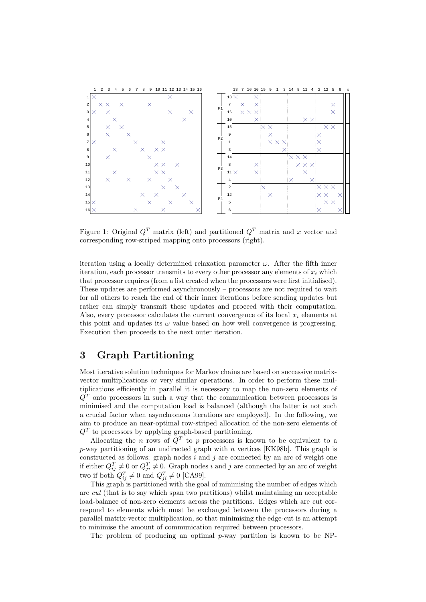

Figure 1: Original  $Q<sup>T</sup>$  matrix (left) and partitioned  $Q<sup>T</sup>$  matrix and x vector and corresponding row-striped mapping onto processors (right).

iteration using a locally determined relaxation parameter  $\omega$ . After the fifth inner iteration, each processor transmits to every other processor any elements of  $x_i$  which that processor requires (from a list created when the processors were first initialised). These updates are performed asynchronously – processors are not required to wait for all others to reach the end of their inner iterations before sending updates but rather can simply transmit these updates and proceed with their computation. Also, every processor calculates the current convergence of its local  $x_i$  elements at this point and updates its  $\omega$  value based on how well convergence is progressing. Execution then proceeds to the next outer iteration.

### 3 Graph Partitioning

Most iterative solution techniques for Markov chains are based on successive matrixvector multiplications or very similar operations. In order to perform these multiplications efficiently in parallel it is necessary to map the non-zero elements of  $Q<sup>T</sup>$  onto processors in such a way that the communication between processors is minimised and the computation load is balanced (although the latter is not such a crucial factor when asynchronous iterations are employed). In the following, we aim to produce an near-optimal row-striped allocation of the non-zero elements of  $Q<sup>T</sup>$  to processors by applying graph-based partitioning.

Allocating the n rows of  $Q<sup>T</sup>$  to p processors is known to be equivalent to a  $p$ -way partitioning of an undirected graph with  $n$  vertices [KK98b]. This graph is constructed as follows: graph nodes  $i$  and  $j$  are connected by an arc of weight one if either  $Q_{ij}^T \neq 0$  or  $Q_{ji}^T \neq 0$ . Graph nodes i and j are connected by an arc of weight two if both  $Q_{ij}^T \neq 0$  and  $Q_{ji}^T \neq 0$  [CA99].

This graph is partitioned with the goal of minimising the number of edges which are cut (that is to say which span two partitions) whilst maintaining an acceptable load-balance of non-zero elements across the partitions. Edges which are cut correspond to elements which must be exchanged between the processors during a parallel matrix-vector multiplication, so that minimising the edge-cut is an attempt to minimise the amount of communication required between processors.

The problem of producing an optimal  $p$ -way partition is known to be NP-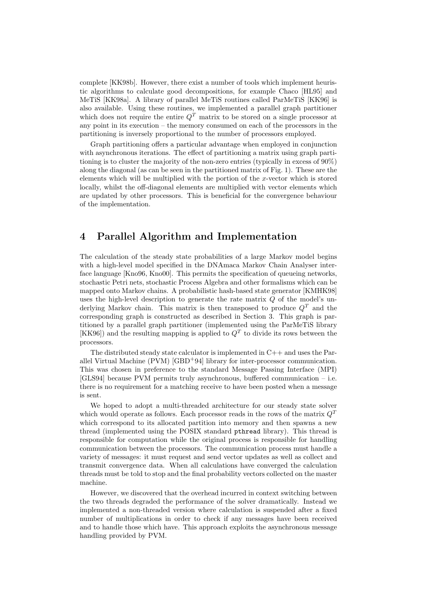complete [KK98b]. However, there exist a number of tools which implement heuristic algorithms to calculate good decompositions, for example Chaco [HL95] and MeTiS [KK98a]. A library of parallel MeTiS routines called ParMeTiS [KK96] is also available. Using these routines, we implemented a parallel graph partitioner which does not require the entire  $Q<sup>T</sup>$  matrix to be stored on a single processor at any point in its execution – the memory consumed on each of the processors in the partitioning is inversely proportional to the number of processors employed.

Graph partitioning offers a particular advantage when employed in conjunction with asynchronous iterations. The effect of partitioning a matrix using graph partitioning is to cluster the majority of the non-zero entries (typically in excess of 90%) along the diagonal (as can be seen in the partitioned matrix of Fig. 1). These are the elements which will be multiplied with the portion of the x-vector which is stored locally, whilst the off-diagonal elements are multiplied with vector elements which are updated by other processors. This is beneficial for the convergence behaviour of the implementation.

#### 4 Parallel Algorithm and Implementation

The calculation of the steady state probabilities of a large Markov model begins with a high-level model specified in the DNAmaca Markov Chain Analyser interface language [Kno96, Kno00]. This permits the specification of queueing networks, stochastic Petri nets, stochastic Process Algebra and other formalisms which can be mapped onto Markov chains. A probabilistic hash-based state generator [KMHK98] uses the high-level description to generate the rate matrix Q of the model's underlying Markov chain. This matrix is then transposed to produce  $Q<sup>T</sup>$  and the corresponding graph is constructed as described in Section 3. This graph is partitioned by a parallel graph partitioner (implemented using the ParMeTiS library [KK96]) and the resulting mapping is applied to  $Q<sup>T</sup>$  to divide its rows between the processors.

The distributed steady state calculator is implemented in C++ and uses the Parallel Virtual Machine (PVM) [GBD<sup>+</sup>94] library for inter-processor communication. This was chosen in preference to the standard Message Passing Interface (MPI) [GLS94] because PVM permits truly asynchronous, buffered communication – i.e. there is no requirement for a matching receive to have been posted when a message is sent.

We hoped to adopt a multi-threaded architecture for our steady state solver which would operate as follows. Each processor reads in the rows of the matrix  $Q<sup>T</sup>$ which correspond to its allocated partition into memory and then spawns a new thread (implemented using the POSIX standard pthread library). This thread is responsible for computation while the original process is responsible for handling communication between the processors. The communication process must handle a variety of messages: it must request and send vector updates as well as collect and transmit convergence data. When all calculations have converged the calculation threads must be told to stop and the final probability vectors collected on the master machine.

However, we discovered that the overhead incurred in context switching between the two threads degraded the performance of the solver dramatically. Instead we implemented a non-threaded version where calculation is suspended after a fixed number of multiplications in order to check if any messages have been received and to handle those which have. This approach exploits the asynchronous message handling provided by PVM.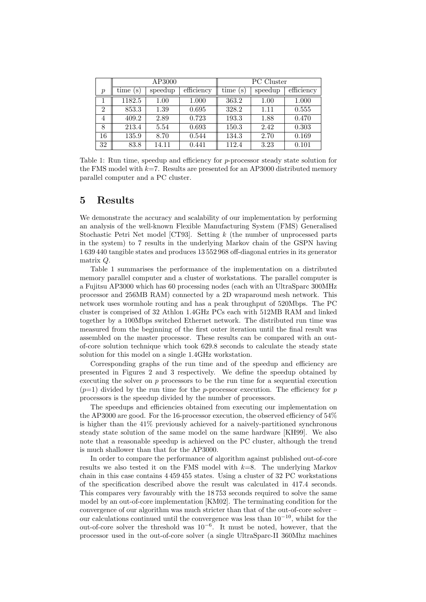|                  | AP3000  |         |            | <b>PC</b> Cluster |         |            |
|------------------|---------|---------|------------|-------------------|---------|------------|
| $\boldsymbol{p}$ | time(s) | speedup | efficiency | time<br>(S        | speedup | efficiency |
|                  | 1182.5  | 1.00    | 1.000      | 363.2             | 1.00    | 1.000      |
| 2                | 853.3   | 1.39    | 0.695      | 328.2             | 1.11    | 0.555      |
| 4                | 409.2   | 2.89    | 0.723      | 193.3             | 1.88    | 0.470      |
| 8                | 213.4   | 5.54    | 0.693      | 150.3             | 2.42    | 0.303      |
| 16               | 135.9   | 8.70    | 0.544      | 134.3             | 2.70    | 0.169      |
| 32               | 83.8    | 14.11   | 0.441      | 112.4             | 3.23    | 0.101      |

Table 1: Run time, speedup and efficiency for p-processor steady state solution for the FMS model with  $k=7$ . Results are presented for an AP3000 distributed memory parallel computer and a PC cluster.

#### 5 Results

We demonstrate the accuracy and scalability of our implementation by performing an analysis of the well-known Flexible Manufacturing System (FMS) Generalised Stochastic Petri Net model [CT93]. Setting k (the number of unprocessed parts in the system) to 7 results in the underlying Markov chain of the GSPN having 1 639 440 tangible states and produces 13 552 968 off-diagonal entries in its generator matrix Q.

Table 1 summarises the performance of the implementation on a distributed memory parallel computer and a cluster of workstations. The parallel computer is a Fujitsu AP3000 which has 60 processing nodes (each with an UltraSparc 300MHz processor and 256MB RAM) connected by a 2D wraparound mesh network. This network uses wormhole routing and has a peak throughput of 520Mbps. The PC cluster is comprised of 32 Athlon 1.4GHz PCs each with 512MB RAM and linked together by a 100Mbps switched Ethernet network. The distributed run time was measured from the beginning of the first outer iteration until the final result was assembled on the master processor. These results can be compared with an outof-core solution technique which took 629.8 seconds to calculate the steady state solution for this model on a single 1.4GHz workstation.

Corresponding graphs of the run time and of the speedup and efficiency are presented in Figures 2 and 3 respectively. We define the speedup obtained by executing the solver on  $p$  processors to be the run time for a sequential execution  $(p=1)$  divided by the run time for the p-processor execution. The efficiency for p processors is the speedup divided by the number of processors.

The speedups and efficiencies obtained from executing our implementation on the AP3000 are good. For the 16-processor execution, the observed efficiency of 54% is higher than the 41% previously achieved for a naively-partitioned synchronous steady state solution of the same model on the same hardware [KH99]. We also note that a reasonable speedup is achieved on the PC cluster, although the trend is much shallower than that for the AP3000.

In order to compare the performance of algorithm against published out-of-core results we also tested it on the FMS model with  $k=8$ . The underlying Markov chain in this case contains 4 459 455 states. Using a cluster of 32 PC workstations of the specification described above the result was calculated in 417.4 seconds. This compares very favourably with the 18 753 seconds required to solve the same model by an out-of-core implementation [KM02]. The terminating condition for the convergence of our algorithm was much stricter than that of the out-of-core solver – our calculations continued until the convergence was less than  $10^{-10}$ , whilst for the out-of-core solver the threshold was 10−<sup>6</sup>. It must be noted, however, that the processor used in the out-of-core solver (a single UltraSparc-II 360Mhz machines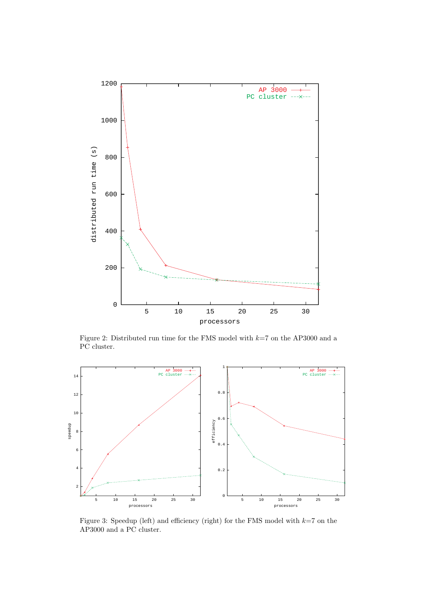

Figure 2: Distributed run time for the FMS model with  $k=7$  on the AP3000 and a PC cluster.



Figure 3: Speedup (left) and efficiency (right) for the FMS model with  $k=7$  on the AP3000 and a PC cluster.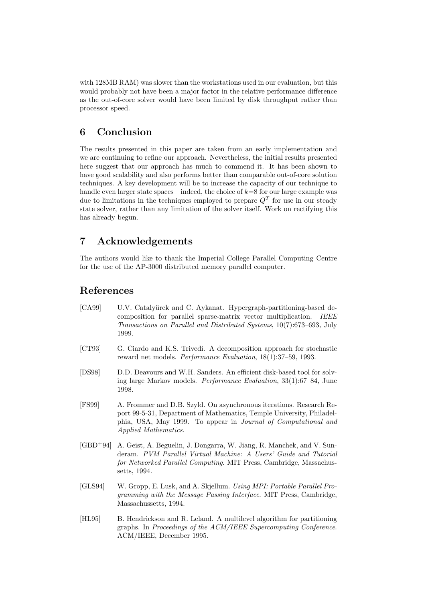with 128MB RAM) was slower than the workstations used in our evaluation, but this would probably not have been a major factor in the relative performance difference as the out-of-core solver would have been limited by disk throughput rather than processor speed.

#### 6 Conclusion

The results presented in this paper are taken from an early implementation and we are continuing to refine our approach. Nevertheless, the initial results presented here suggest that our approach has much to commend it. It has been shown to have good scalability and also performs better than comparable out-of-core solution techniques. A key development will be to increase the capacity of our technique to handle even larger state spaces – indeed, the choice of  $k=8$  for our large example was due to limitations in the techniques employed to prepare  $Q<sup>T</sup>$  for use in our steady state solver, rather than any limitation of the solver itself. Work on rectifying this has already begun.

## 7 Acknowledgements

The authors would like to thank the Imperial College Parallel Computing Centre for the use of the AP-3000 distributed memory parallel computer.

## References

- [CA99] U.V. Catalyurek and C. Aykanat. Hypergraph-partitioning-based decomposition for parallel sparse-matrix vector multiplication. IEEE Transactions on Parallel and Distributed Systems, 10(7):673–693, July 1999.
- [CT93] G. Ciardo and K.S. Trivedi. A decomposition approach for stochastic reward net models. Performance Evaluation, 18(1):37–59, 1993.
- [DS98] D.D. Deavours and W.H. Sanders. An efficient disk-based tool for solving large Markov models. Performance Evaluation, 33(1):67–84, June 1998.
- [FS99] A. Frommer and D.B. Szyld. On asynchronous iterations. Research Report 99-5-31, Department of Mathematics, Temple University, Philadelphia, USA, May 1999. To appear in Journal of Computational and Applied Mathematics.
- [GBD<sup>+</sup>94] A. Geist, A. Beguelin, J. Dongarra, W. Jiang, R. Manchek, and V. Sunderam. PVM Parallel Virtual Machine: A Users' Guide and Tutorial for Networked Parallel Computing. MIT Press, Cambridge, Massachussetts, 1994.
- [GLS94] W. Gropp, E. Lusk, and A. Skjellum. Using MPI: Portable Parallel Programming with the Message Passing Interface. MIT Press, Cambridge, Massachussetts, 1994.
- [HL95] B. Hendrickson and R. Leland. A multilevel algorithm for partitioning graphs. In Proceedings of the ACM/IEEE Supercomputing Conference. ACM/IEEE, December 1995.